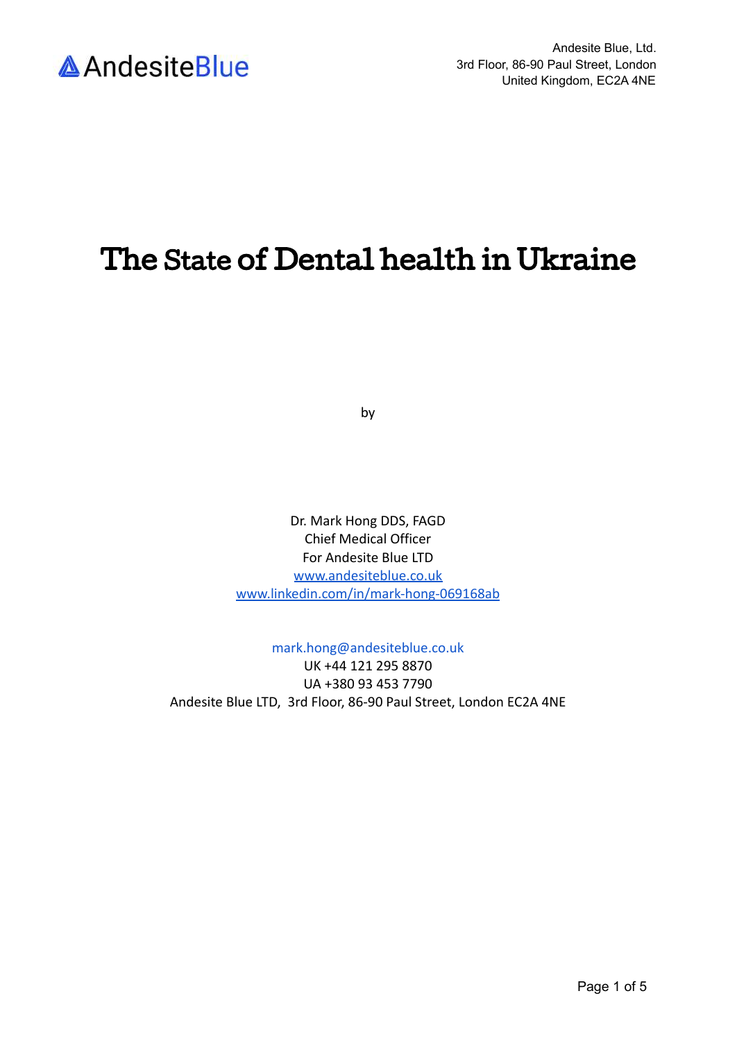

## The State of Dental health in Ukraine

by

Dr. Mark Hong DDS, FAGD Chief Medical Officer For Andesite Blue LTD [www.andesiteblue.co.uk](http://www.andesiteblue.co.uk/) [www.linkedin.com/in/mark-hong-069168ab](http://www.linkedin.com/in/mark-hong-069168ab)

mark.hong@andesiteblue.co.uk

UK +44 121 295 8870 UA +380 93 453 7790 Andesite Blue LTD, 3rd Floor, 86-90 Paul Street, London EC2A 4NE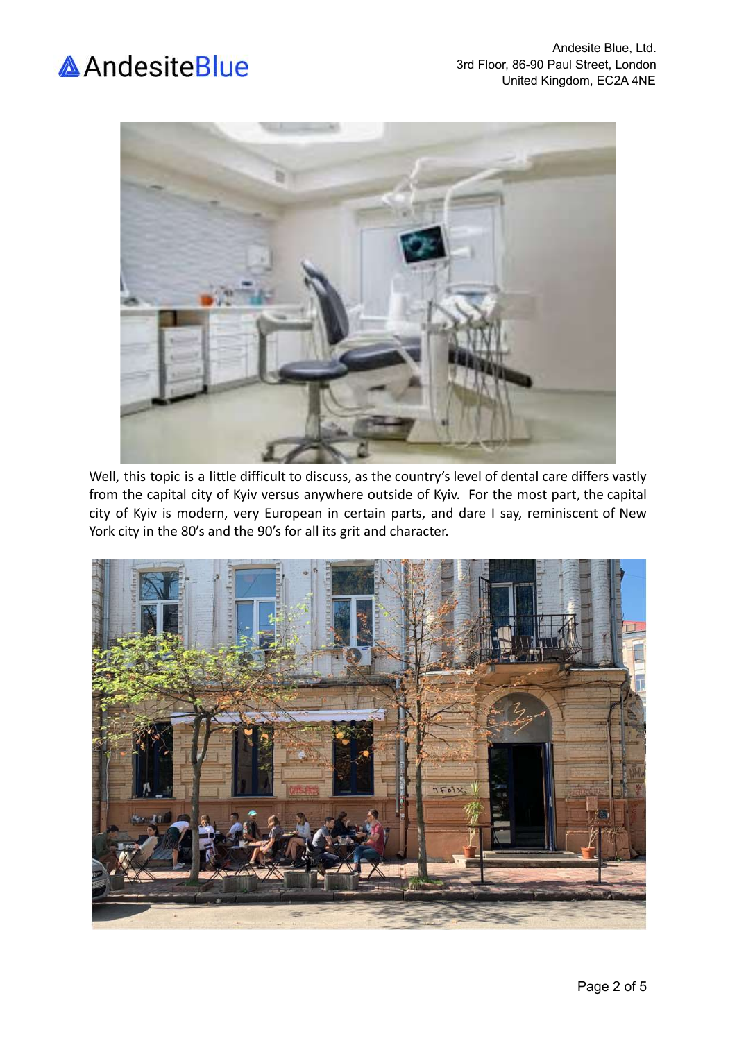



Well, this topic is a little difficult to discuss, as the country's level of dental care differs vastly from the capital city of Kyiv versus anywhere outside of Kyiv. For the most part, the capital city of Kyiv is modern, very European in certain parts, and dare I say, reminiscent of New York city in the 80's and the 90's for all its grit and character.

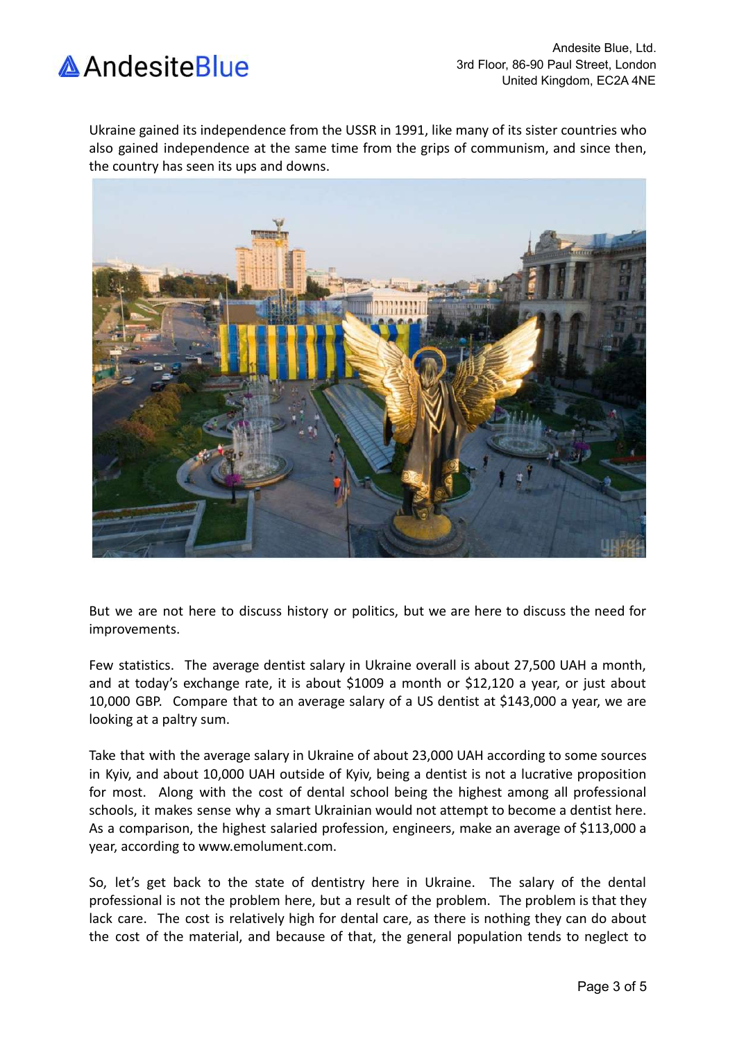

Ukraine gained its independence from the USSR in 1991, like many of its sister countries who also gained independence at the same time from the grips of communism, and since then, the country has seen its ups and downs.



But we are not here to discuss history or politics, but we are here to discuss the need for improvements.

Few statistics. The average dentist salary in Ukraine overall is about 27,500 UAH a month, and at today's exchange rate, it is about \$1009 a month or \$12,120 a year, or just about 10,000 GBP. Compare that to an average salary of a US dentist at \$143,000 a year, we are looking at a paltry sum.

Take that with the average salary in Ukraine of about 23,000 UAH according to some sources in Kyiv, and about 10,000 UAH outside of Kyiv, being a dentist is not a lucrative proposition for most. Along with the cost of dental school being the highest among all professional schools, it makes sense why a smart Ukrainian would not attempt to become a dentist here. As a comparison, the highest salaried profession, engineers, make an average of \$113,000 a year, according to www.emolument.com.

So, let's get back to the state of dentistry here in Ukraine. The salary of the dental professional is not the problem here, but a result of the problem. The problem is that they lack care. The cost is relatively high for dental care, as there is nothing they can do about the cost of the material, and because of that, the general population tends to neglect to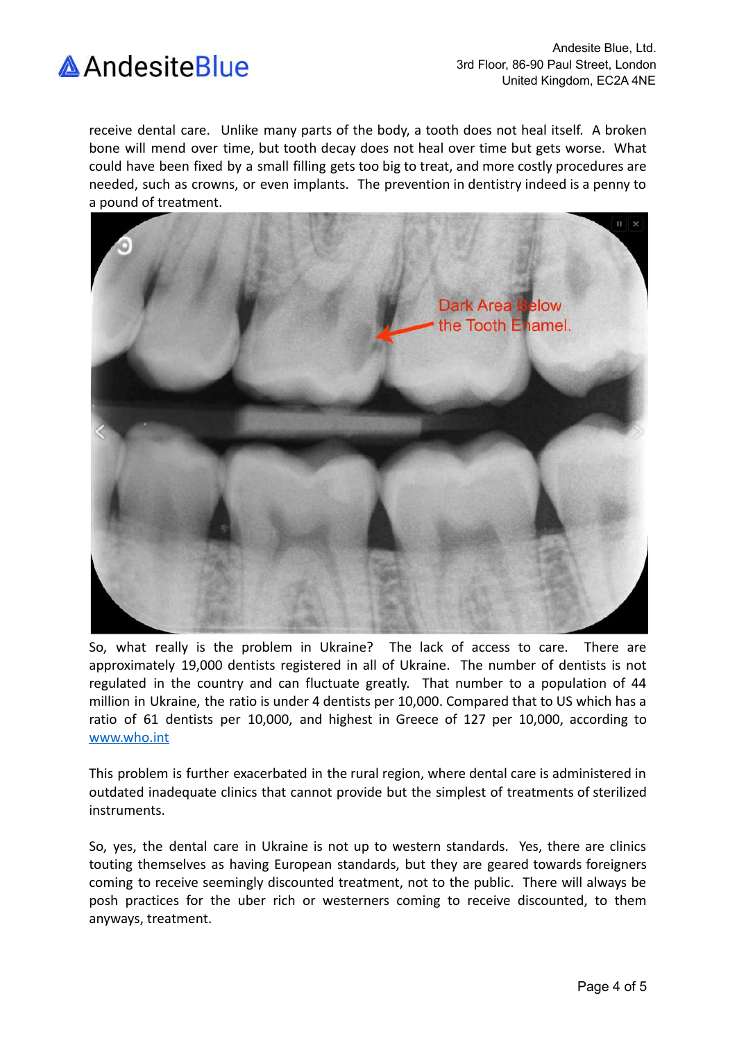

receive dental care. Unlike many parts of the body, a tooth does not heal itself. A broken bone will mend over time, but tooth decay does not heal over time but gets worse. What could have been fixed by a small filling gets too big to treat, and more costly procedures are needed, such as crowns, or even implants. The prevention in dentistry indeed is a penny to a pound of treatment.



So, what really is the problem in Ukraine? The lack of access to care. There are approximately 19,000 dentists registered in all of Ukraine. The number of dentists is not regulated in the country and can fluctuate greatly. That number to a population of 44 million in Ukraine, the ratio is under 4 dentists per 10,000. Compared that to US which has a ratio of 61 dentists per 10,000, and highest in Greece of 127 per 10,000, according to [www.who.int](http://www.who.int)

This problem is further exacerbated in the rural region, where dental care is administered in outdated inadequate clinics that cannot provide but the simplest of treatments of sterilized instruments.

So, yes, the dental care in Ukraine is not up to western standards. Yes, there are clinics touting themselves as having European standards, but they are geared towards foreigners coming to receive seemingly discounted treatment, not to the public. There will always be posh practices for the uber rich or westerners coming to receive discounted, to them anyways, treatment.